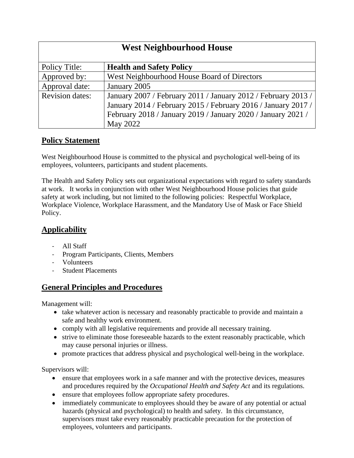| <b>West Neighbourhood House</b> |                                                               |
|---------------------------------|---------------------------------------------------------------|
| Policy Title:                   | <b>Health and Safety Policy</b>                               |
| Approved by:                    | West Neighbourhood House Board of Directors                   |
| Approval date:                  | January 2005                                                  |
| <b>Revision dates:</b>          | January 2007 / February 2011 / January 2012 / February 2013 / |
|                                 | January 2014 / February 2015 / February 2016 / January 2017 / |
|                                 | February 2018 / January 2019 / January 2020 / January 2021 /  |
|                                 | May 2022                                                      |

## **Policy Statement**

West Neighbourhood House is committed to the physical and psychological well-being of its employees, volunteers, participants and student placements.

The Health and Safety Policy sets out organizational expectations with regard to safety standards at work. It works in conjunction with other West Neighbourhood House policies that guide safety at work including, but not limited to the following policies: Respectful Workplace, Workplace Violence, Workplace Harassment, and the Mandatory Use of Mask or Face Shield Policy.

## **Applicability**

- All Staff
- Program Participants, Clients, Members
- Volunteers
- Student Placements

## **General Principles and Procedures**

Management will:

- take whatever action is necessary and reasonably practicable to provide and maintain a safe and healthy work environment.
- comply with all legislative requirements and provide all necessary training.
- strive to eliminate those foreseeable hazards to the extent reasonably practicable, which may cause personal injuries or illness.
- promote practices that address physical and psychological well-being in the workplace.

Supervisors will:

- ensure that employees work in a safe manner and with the protective devices, measures and procedures required by the *Occupational Health and Safety Act* and its regulations.
- ensure that employees follow appropriate safety procedures.
- immediately communicate to employees should they be aware of any potential or actual hazards (physical and psychological) to health and safety. In this circumstance, supervisors must take every reasonably practicable precaution for the protection of employees, volunteers and participants.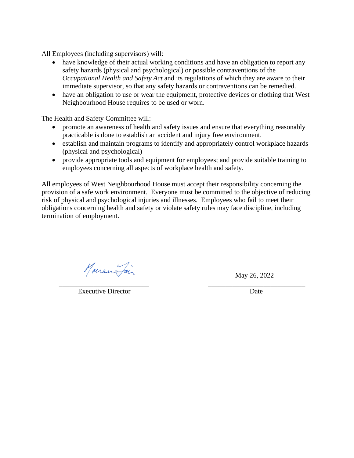All Employees (including supervisors) will:

- have knowledge of their actual working conditions and have an obligation to report any safety hazards (physical and psychological) or possible contraventions of the *Occupational Health and Safety Act* and its regulations of which they are aware to their immediate supervisor, so that any safety hazards or contraventions can be remedied.
- have an obligation to use or wear the equipment, protective devices or clothing that West Neighbourhood House requires to be used or worn.

The Health and Safety Committee will:

- promote an awareness of health and safety issues and ensure that everything reasonably practicable is done to establish an accident and injury free environment.
- establish and maintain programs to identify and appropriately control workplace hazards (physical and psychological)
- provide appropriate tools and equipment for employees; and provide suitable training to employees concerning all aspects of workplace health and safety.

All employees of West Neighbourhood House must accept their responsibility concerning the provision of a safe work environment. Everyone must be committed to the objective of reducing risk of physical and psychological injuries and illnesses. Employees who fail to meet their obligations concerning health and safety or violate safety rules may face discipline, including termination of employment.

Marie Pair May 26, 2022

 $\overline{\phantom{a}}$  ,  $\overline{\phantom{a}}$  ,  $\overline{\phantom{a}}$  ,  $\overline{\phantom{a}}$  ,  $\overline{\phantom{a}}$  ,  $\overline{\phantom{a}}$  ,  $\overline{\phantom{a}}$  ,  $\overline{\phantom{a}}$  ,  $\overline{\phantom{a}}$  ,  $\overline{\phantom{a}}$  ,  $\overline{\phantom{a}}$  ,  $\overline{\phantom{a}}$  ,  $\overline{\phantom{a}}$  ,  $\overline{\phantom{a}}$  ,  $\overline{\phantom{a}}$  ,  $\overline{\phantom{a}}$ Executive Director Date